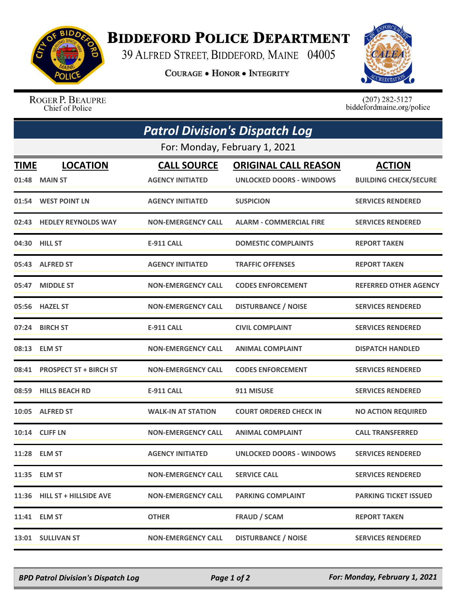

## **BIDDEFORD POLICE DEPARTMENT**

39 ALFRED STREET, BIDDEFORD, MAINE 04005

**COURAGE . HONOR . INTEGRITY** 



ROGER P. BEAUPRE Chief of Police

 $(207)$  282-5127<br>biddefordmaine.org/police

|                               | <b>Patrol Division's Dispatch Log</b> |                           |                                 |                              |  |  |  |
|-------------------------------|---------------------------------------|---------------------------|---------------------------------|------------------------------|--|--|--|
| For: Monday, February 1, 2021 |                                       |                           |                                 |                              |  |  |  |
| TIME                          | <b>LOCATION</b>                       | <b>CALL SOURCE</b>        | <b>ORIGINAL CALL REASON</b>     | <b>ACTION</b>                |  |  |  |
|                               | 01:48 MAIN ST                         | <b>AGENCY INITIATED</b>   | <b>UNLOCKED DOORS - WINDOWS</b> | <b>BUILDING CHECK/SECURE</b> |  |  |  |
|                               | 01:54 WEST POINT LN                   | <b>AGENCY INITIATED</b>   | <b>SUSPICION</b>                | <b>SERVICES RENDERED</b>     |  |  |  |
|                               | 02:43 HEDLEY REYNOLDS WAY             | <b>NON-EMERGENCY CALL</b> | <b>ALARM - COMMERCIAL FIRE</b>  | <b>SERVICES RENDERED</b>     |  |  |  |
|                               | 04:30 HILL ST                         | <b>E-911 CALL</b>         | <b>DOMESTIC COMPLAINTS</b>      | <b>REPORT TAKEN</b>          |  |  |  |
|                               | 05:43 ALFRED ST                       | <b>AGENCY INITIATED</b>   | <b>TRAFFIC OFFENSES</b>         | <b>REPORT TAKEN</b>          |  |  |  |
| 05:47                         | <b>MIDDLE ST</b>                      | <b>NON-EMERGENCY CALL</b> | <b>CODES ENFORCEMENT</b>        | <b>REFERRED OTHER AGENCY</b> |  |  |  |
|                               | 05:56 HAZEL ST                        | <b>NON-EMERGENCY CALL</b> | <b>DISTURBANCE / NOISE</b>      | <b>SERVICES RENDERED</b>     |  |  |  |
|                               | 07:24 BIRCH ST                        | <b>E-911 CALL</b>         | <b>CIVIL COMPLAINT</b>          | <b>SERVICES RENDERED</b>     |  |  |  |
|                               | 08:13 ELM ST                          | <b>NON-EMERGENCY CALL</b> | <b>ANIMAL COMPLAINT</b>         | <b>DISPATCH HANDLED</b>      |  |  |  |
| 08:41                         | <b>PROSPECT ST + BIRCH ST</b>         | <b>NON-EMERGENCY CALL</b> | <b>CODES ENFORCEMENT</b>        | <b>SERVICES RENDERED</b>     |  |  |  |
|                               | 08:59 HILLS BEACH RD                  | <b>E-911 CALL</b>         | 911 MISUSE                      | <b>SERVICES RENDERED</b>     |  |  |  |
|                               | 10:05 ALFRED ST                       | <b>WALK-IN AT STATION</b> | <b>COURT ORDERED CHECK IN</b>   | <b>NO ACTION REQUIRED</b>    |  |  |  |
|                               | 10:14 CLIFF LN                        | <b>NON-EMERGENCY CALL</b> | <b>ANIMAL COMPLAINT</b>         | <b>CALL TRANSFERRED</b>      |  |  |  |
|                               | 11:28 ELM ST                          | <b>AGENCY INITIATED</b>   | <b>UNLOCKED DOORS - WINDOWS</b> | <b>SERVICES RENDERED</b>     |  |  |  |
|                               | 11:35 ELM ST                          | <b>NON-EMERGENCY CALL</b> | <b>SERVICE CALL</b>             | <b>SERVICES RENDERED</b>     |  |  |  |
|                               | 11:36 HILL ST + HILLSIDE AVE          | <b>NON-EMERGENCY CALL</b> | <b>PARKING COMPLAINT</b>        | <b>PARKING TICKET ISSUED</b> |  |  |  |
|                               | 11:41 ELM ST                          | <b>OTHER</b>              | <b>FRAUD / SCAM</b>             | <b>REPORT TAKEN</b>          |  |  |  |
|                               | 13:01 SULLIVAN ST                     | <b>NON-EMERGENCY CALL</b> | <b>DISTURBANCE / NOISE</b>      | <b>SERVICES RENDERED</b>     |  |  |  |